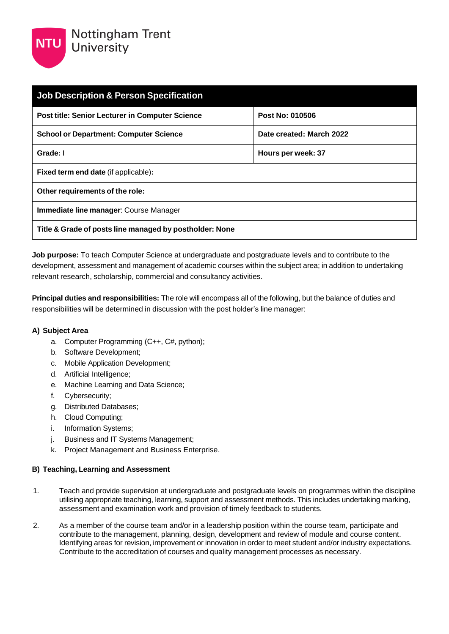

| <b>Job Description &amp; Person Specification</b>       |                          |  |
|---------------------------------------------------------|--------------------------|--|
| <b>Post title: Senior Lecturer in Computer Science</b>  | Post No: 010506          |  |
| <b>School or Department: Computer Science</b>           | Date created: March 2022 |  |
| Grade: I                                                | Hours per week: 37       |  |
| <b>Fixed term end date (if applicable):</b>             |                          |  |
| Other requirements of the role:                         |                          |  |
| <b>Immediate line manager: Course Manager</b>           |                          |  |
| Title & Grade of posts line managed by postholder: None |                          |  |

**Job purpose:** To teach Computer Science at undergraduate and postgraduate levels and to contribute to the development, assessment and management of academic courses within the subject area; in addition to undertaking relevant research, scholarship, commercial and consultancy activities.

**Principal duties and responsibilities:** The role will encompass all of the following, but the balance of duties and responsibilities will be determined in discussion with the post holder's line manager:

## **A) Subject Area**

- a. Computer Programming (C++, C#, python);
- b. Software Development;
- c. Mobile Application Development;
- d. Artificial Intelligence;
- e. Machine Learning and Data Science;
- f. Cybersecurity;
- g. Distributed Databases;
- h. Cloud Computing;
- i. Information Systems;
- j. Business and IT Systems Management;
- k. Project Management and Business Enterprise.

## **B) Teaching, Learning and Assessment**

- 1. Teach and provide supervision at undergraduate and postgraduate levels on programmes within the discipline utilising appropriate teaching, learning, support and assessment methods. This includes undertaking marking, assessment and examination work and provision of timely feedback to students.
- 2. As a member of the course team and/or in a leadership position within the course team, participate and contribute to the management, planning, design, development and review of module and course content. Identifying areas for revision, improvement or innovation in order to meet student and/or industry expectations. Contribute to the accreditation of courses and quality management processes as necessary.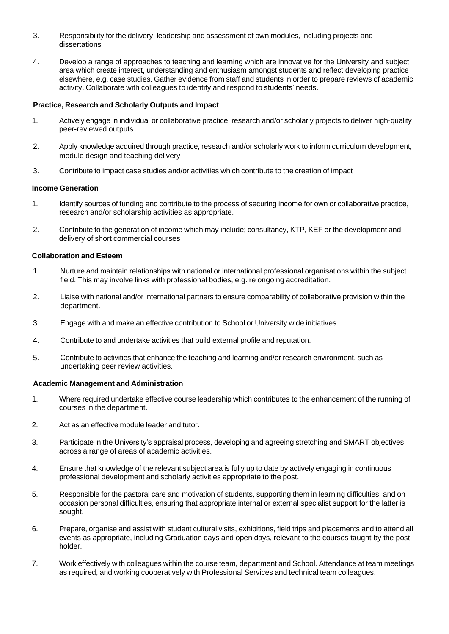- 3. Responsibility for the delivery, leadership and assessment of own modules, including projects and dissertations
- 4. Develop a range of approaches to teaching and learning which are innovative for the University and subject area which create interest, understanding and enthusiasm amongst students and reflect developing practice elsewhere, e.g. case studies. Gather evidence from staff and students in order to prepare reviews of academic activity. Collaborate with colleagues to identify and respond to students' needs.

#### **Practice, Research and Scholarly Outputs and Impact**

- 1. Actively engage in individual or collaborative practice, research and/or scholarly projects to deliver high-quality peer-reviewed outputs
- 2. Apply knowledge acquired through practice, research and/or scholarly work to inform curriculum development, module design and teaching delivery
- 3. Contribute to impact case studies and/or activities which contribute to the creation of impact

#### **Income Generation**

- 1. Identify sources of funding and contribute to the process of securing income for own or collaborative practice, research and/or scholarship activities as appropriate.
- 2. Contribute to the generation of income which may include; consultancy, KTP, KEF or the development and delivery of short commercial courses

#### **Collaboration and Esteem**

- 1. Nurture and maintain relationships with national or international professional organisations within the subject field. This may involve links with professional bodies, e.g. re ongoing accreditation.
- 2. Liaise with national and/or international partners to ensure comparability of collaborative provision within the department.
- 3. Engage with and make an effective contribution to School or University wide initiatives.
- 4. Contribute to and undertake activities that build external profile and reputation.
- 5. Contribute to activities that enhance the teaching and learning and/or research environment, such as undertaking peer review activities.

#### **Academic Management and Administration**

- 1. Where required undertake effective course leadership which contributes to the enhancement of the running of courses in the department.
- 2. Act as an effective module leader and tutor.
- 3. Participate in the University's appraisal process, developing and agreeing stretching and SMART objectives across a range of areas of academic activities.
- 4. Ensure that knowledge of the relevant subject area is fully up to date by actively engaging in continuous professional development and scholarly activities appropriate to the post.
- 5. Responsible for the pastoral care and motivation of students, supporting them in learning difficulties, and on occasion personal difficulties, ensuring that appropriate internal or external specialist support for the latter is sought.
- 6. Prepare, organise and assist with student cultural visits, exhibitions, field trips and placements and to attend all events as appropriate, including Graduation days and open days, relevant to the courses taught by the post holder.
- 7. Work effectively with colleagues within the course team, department and School. Attendance at team meetings as required, and working cooperatively with Professional Services and technical team colleagues.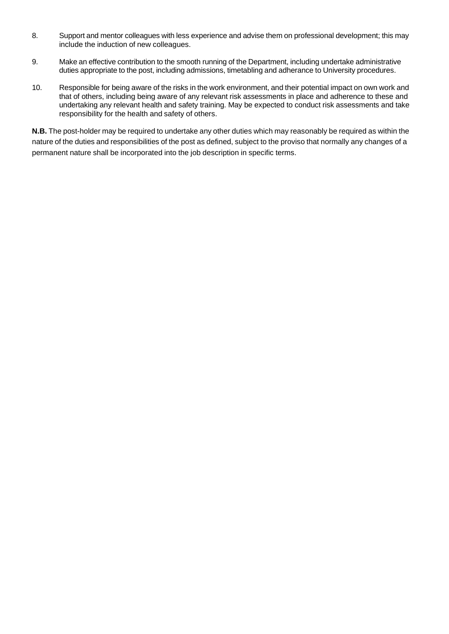- 8. Support and mentor colleagues with less experience and advise them on professional development; this may include the induction of new colleagues.
- 9. Make an effective contribution to the smooth running of the Department, including undertake administrative duties appropriate to the post, including admissions, timetabling and adherance to University procedures.
- 10. Responsible for being aware of the risks in the work environment, and their potential impact on own work and that of others, including being aware of any relevant risk assessments in place and adherence to these and undertaking any relevant health and safety training. May be expected to conduct risk assessments and take responsibility for the health and safety of others.

**N.B.** The post-holder may be required to undertake any other duties which may reasonably be required as within the nature of the duties and responsibilities of the post as defined, subject to the proviso that normally any changes of a permanent nature shall be incorporated into the job description in specific terms.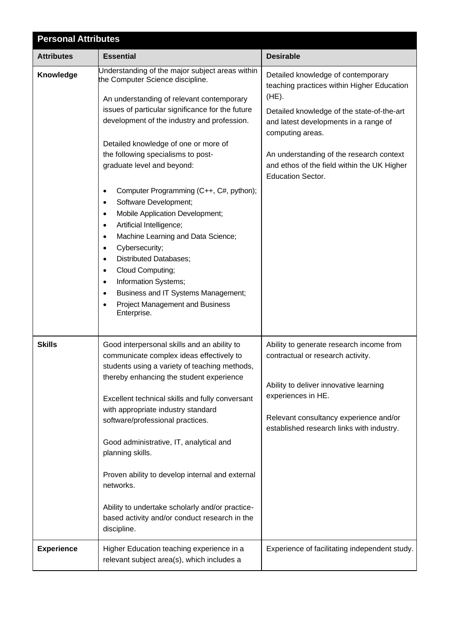| <b>Personal Attributes</b> |                                                                                                                                                                                                                                                                                                                                                                                                                                                                                                                                                                                                                                                                                                                                                                                                                                                    |                                                                                                                                                                                                                                                                                                                                |  |
|----------------------------|----------------------------------------------------------------------------------------------------------------------------------------------------------------------------------------------------------------------------------------------------------------------------------------------------------------------------------------------------------------------------------------------------------------------------------------------------------------------------------------------------------------------------------------------------------------------------------------------------------------------------------------------------------------------------------------------------------------------------------------------------------------------------------------------------------------------------------------------------|--------------------------------------------------------------------------------------------------------------------------------------------------------------------------------------------------------------------------------------------------------------------------------------------------------------------------------|--|
| <b>Attributes</b>          | <b>Essential</b>                                                                                                                                                                                                                                                                                                                                                                                                                                                                                                                                                                                                                                                                                                                                                                                                                                   | <b>Desirable</b>                                                                                                                                                                                                                                                                                                               |  |
| Knowledge                  | Understanding of the major subject areas within<br>the Computer Science discipline.<br>An understanding of relevant contemporary<br>issues of particular significance for the future<br>development of the industry and profession.<br>Detailed knowledge of one or more of<br>the following specialisms to post-<br>graduate level and beyond:<br>Computer Programming (C++, C#, python);<br>$\bullet$<br>Software Development;<br>$\bullet$<br>Mobile Application Development;<br>$\bullet$<br>Artificial Intelligence;<br>$\bullet$<br>Machine Learning and Data Science;<br>$\bullet$<br>Cybersecurity;<br>$\bullet$<br><b>Distributed Databases;</b><br>$\bullet$<br>Cloud Computing;<br>$\bullet$<br>Information Systems;<br>$\bullet$<br>Business and IT Systems Management;<br>$\bullet$<br>Project Management and Business<br>Enterprise. | Detailed knowledge of contemporary<br>teaching practices within Higher Education<br>$(HE)$ .<br>Detailed knowledge of the state-of-the-art<br>and latest developments in a range of<br>computing areas.<br>An understanding of the research context<br>and ethos of the field within the UK Higher<br><b>Education Sector.</b> |  |
| <b>Skills</b>              | Good interpersonal skills and an ability to<br>communicate complex ideas effectively to<br>students using a variety of teaching methods,<br>thereby enhancing the student experience<br>Excellent technical skills and fully conversant<br>with appropriate industry standard<br>software/professional practices.<br>Good administrative, IT, analytical and<br>planning skills.<br>Proven ability to develop internal and external<br>networks.<br>Ability to undertake scholarly and/or practice-<br>based activity and/or conduct research in the<br>discipline.                                                                                                                                                                                                                                                                                | Ability to generate research income from<br>contractual or research activity.<br>Ability to deliver innovative learning<br>experiences in HE.<br>Relevant consultancy experience and/or<br>established research links with industry.                                                                                           |  |
| <b>Experience</b>          | Higher Education teaching experience in a<br>relevant subject area(s), which includes a                                                                                                                                                                                                                                                                                                                                                                                                                                                                                                                                                                                                                                                                                                                                                            | Experience of facilitating independent study.                                                                                                                                                                                                                                                                                  |  |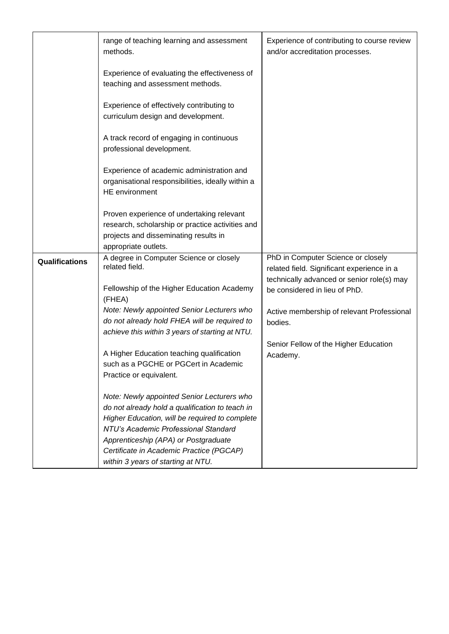|                | range of teaching learning and assessment<br>methods.                                                                                                                                                                                                                                                             | Experience of contributing to course review<br>and/or accreditation processes.                                                 |
|----------------|-------------------------------------------------------------------------------------------------------------------------------------------------------------------------------------------------------------------------------------------------------------------------------------------------------------------|--------------------------------------------------------------------------------------------------------------------------------|
|                | Experience of evaluating the effectiveness of<br>teaching and assessment methods.                                                                                                                                                                                                                                 |                                                                                                                                |
|                | Experience of effectively contributing to<br>curriculum design and development.                                                                                                                                                                                                                                   |                                                                                                                                |
|                | A track record of engaging in continuous<br>professional development.                                                                                                                                                                                                                                             |                                                                                                                                |
|                | Experience of academic administration and<br>organisational responsibilities, ideally within a<br><b>HE</b> environment                                                                                                                                                                                           |                                                                                                                                |
|                | Proven experience of undertaking relevant                                                                                                                                                                                                                                                                         |                                                                                                                                |
|                | research, scholarship or practice activities and                                                                                                                                                                                                                                                                  |                                                                                                                                |
|                | projects and disseminating results in<br>appropriate outlets.                                                                                                                                                                                                                                                     |                                                                                                                                |
| Qualifications | A degree in Computer Science or closely<br>related field.                                                                                                                                                                                                                                                         | PhD in Computer Science or closely<br>related field. Significant experience in a<br>technically advanced or senior role(s) may |
|                | Fellowship of the Higher Education Academy<br>(FHEA)                                                                                                                                                                                                                                                              | be considered in lieu of PhD.                                                                                                  |
|                | Note: Newly appointed Senior Lecturers who<br>do not already hold FHEA will be required to<br>achieve this within 3 years of starting at NTU.                                                                                                                                                                     | Active membership of relevant Professional<br>bodies.                                                                          |
|                | A Higher Education teaching qualification<br>such as a PGCHE or PGCert in Academic<br>Practice or equivalent.                                                                                                                                                                                                     | Senior Fellow of the Higher Education<br>Academy.                                                                              |
|                | Note: Newly appointed Senior Lecturers who<br>do not already hold a qualification to teach in<br>Higher Education, will be required to complete<br>NTU's Academic Professional Standard<br>Apprenticeship (APA) or Postgraduate<br>Certificate in Academic Practice (PGCAP)<br>within 3 years of starting at NTU. |                                                                                                                                |